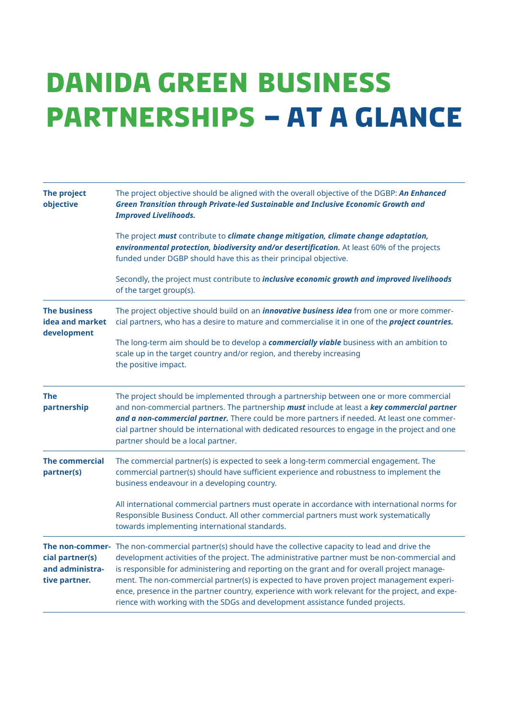## **Danida Green Business P[artn](http://www.dgbp.d)erships – at a glance**

| <b>The project</b><br>objective                                        | The project objective should be aligned with the overall objective of the DGBP: An Enhanced<br>Green Transition through Private-led Sustainable and Inclusive Economic Growth and<br><b>Improved Livelihoods.</b>                                                                                                                                                                                                                                                                                                                                                       |  |
|------------------------------------------------------------------------|-------------------------------------------------------------------------------------------------------------------------------------------------------------------------------------------------------------------------------------------------------------------------------------------------------------------------------------------------------------------------------------------------------------------------------------------------------------------------------------------------------------------------------------------------------------------------|--|
|                                                                        | The project must contribute to climate change mitigation, climate change adaptation,<br>environmental protection, biodiversity and/or desertification. At least 60% of the projects<br>funded under DGBP should have this as their principal objective.                                                                                                                                                                                                                                                                                                                 |  |
|                                                                        | Secondly, the project must contribute to <i>inclusive economic growth and improved livelihoods</i><br>of the target group(s).                                                                                                                                                                                                                                                                                                                                                                                                                                           |  |
| <b>The business</b><br>idea and market<br>development                  | The project objective should build on an <i>innovative business idea</i> from one or more commer-<br>cial partners, who has a desire to mature and commercialise it in one of the <i>project countries</i> .                                                                                                                                                                                                                                                                                                                                                            |  |
|                                                                        | The long-term aim should be to develop a <b>commercially viable</b> business with an ambition to<br>scale up in the target country and/or region, and thereby increasing<br>the positive impact.                                                                                                                                                                                                                                                                                                                                                                        |  |
| <b>The</b><br>partnership                                              | The project should be implemented through a partnership between one or more commercial<br>and non-commercial partners. The partnership must include at least a key commercial partner<br>and a non-commercial partner. There could be more partners if needed. At least one commer-<br>cial partner should be international with dedicated resources to engage in the project and one<br>partner should be a local partner.                                                                                                                                             |  |
| <b>The commercial</b><br>partner(s)                                    | The commercial partner(s) is expected to seek a long-term commercial engagement. The<br>commercial partner(s) should have sufficient experience and robustness to implement the<br>business endeavour in a developing country.                                                                                                                                                                                                                                                                                                                                          |  |
|                                                                        | All international commercial partners must operate in accordance with international norms for<br>Responsible Business Conduct. All other commercial partners must work systematically<br>towards implementing international standards.                                                                                                                                                                                                                                                                                                                                  |  |
| The non-commer-<br>cial partner(s)<br>and administra-<br>tive partner. | The non-commercial partner(s) should have the collective capacity to lead and drive the<br>development activities of the project. The administrative partner must be non-commercial and<br>is responsible for administering and reporting on the grant and for overall project manage-<br>ment. The non-commercial partner(s) is expected to have proven project management experi-<br>ence, presence in the partner country, experience with work relevant for the project, and expe-<br>rience with working with the SDGs and development assistance funded projects. |  |